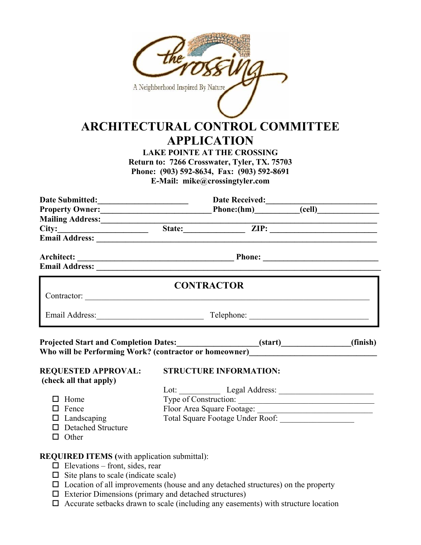|                                                                                                                                              | A Neighborhood Inspired By Nature<br><b>ARCHITECTURAL CONTROL COMMITTEE</b><br><b>APPLICATION</b><br><b>LAKE POINTE AT THE CROSSING</b><br>Return to: 7266 Crosswater, Tyler, TX. 75703<br>Phone: (903) 592-8634, Fax: (903) 592-8691<br>E-Mail: mike@crossingtyler.com |  |  |
|----------------------------------------------------------------------------------------------------------------------------------------------|-------------------------------------------------------------------------------------------------------------------------------------------------------------------------------------------------------------------------------------------------------------------------|--|--|
|                                                                                                                                              |                                                                                                                                                                                                                                                                         |  |  |
|                                                                                                                                              |                                                                                                                                                                                                                                                                         |  |  |
|                                                                                                                                              | Mailing Address: <u>City: Electronic State: City:</u> City: City: City: City: City: City: City: City: City: City: City: City: City: City: City: City: City: City: City: City: City: City: City: City: City: City: City: City: City:                                     |  |  |
|                                                                                                                                              |                                                                                                                                                                                                                                                                         |  |  |
|                                                                                                                                              |                                                                                                                                                                                                                                                                         |  |  |
| Architect:                                                                                                                                   |                                                                                                                                                                                                                                                                         |  |  |
|                                                                                                                                              | <b>Email Address:</b> No. 2014 19:30 Address: No. 2014 19:30 Address: No. 2014 19:30 Address: No. 2014 19:30 Address                                                                                                                                                    |  |  |
|                                                                                                                                              | <b>CONTRACTOR</b>                                                                                                                                                                                                                                                       |  |  |
|                                                                                                                                              | Email Address: Telephone: Telephone:                                                                                                                                                                                                                                    |  |  |
| <b>Projected Start and Completion Dates:</b><br>Who will be Performing Work? (contractor or homeowner)                                       | (finish)<br>(start)<br><u> 1980 - Jan Barat, martin a</u>                                                                                                                                                                                                               |  |  |
| <b>REQUESTED APPROVAL:</b><br>(check all that apply)                                                                                         | <b>STRUCTURE INFORMATION:</b>                                                                                                                                                                                                                                           |  |  |
|                                                                                                                                              |                                                                                                                                                                                                                                                                         |  |  |
| $\Box$ Home                                                                                                                                  | Type of Construction:                                                                                                                                                                                                                                                   |  |  |
| $\Box$ Fence                                                                                                                                 |                                                                                                                                                                                                                                                                         |  |  |
| $\Box$ Landscaping<br>□ Detached Structure<br>$\Box$ Other                                                                                   |                                                                                                                                                                                                                                                                         |  |  |
| <b>REQUIRED ITEMS</b> (with application submittal):<br>$\Box$ Elevations – front, sides, rear<br>$\Box$ Site plans to scale (indicate scale) |                                                                                                                                                                                                                                                                         |  |  |

- $\square$  Location of all improvements (house and any detached structures) on the property
- $\square$  Exterior Dimensions (primary and detached structures)
- $\Box$  Accurate setbacks drawn to scale (including any easements) with structure location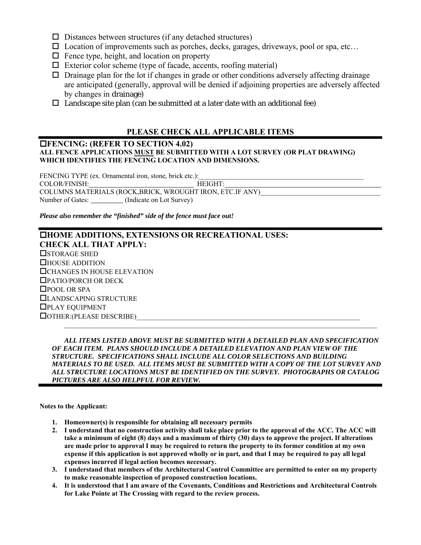- $\square$  Distances between structures (if any detached structures)
- $\square$  Location of improvements such as porches, decks, garages, driveways, pool or spa, etc...
- $\Box$  Fence type, height, and location on property
- $\Box$  Exterior color scheme (type of facade, accents, roofing material)
- $\Box$  Drainage plan for the lot if changes in grade or other conditions adversely affecting drainage are anticipated (generally, approval will be denied if adjoining properties are adversely affected by changes in drainage)
- $\Box$  Landscape site plan (can be submitted at a later date with an additional fee)

## **PLEASE CHECK ALL APPLICABLE ITEMS**

### **FENCING: (REFER TO SECTION 4.02) ALL FENCE APPLICATIONS MUST BE SUBMITTED WITH A LOT SURVEY (OR PLAT DRAWING) WHICH IDENTIFIES THE FENCING LOCATION AND DIMENSIONS.**

FENCING TYPE (ex. Ornamental iron, stone, brick etc.): COLOR/FINISH: HEIGHT: COLUMNS MATERIALS (ROCK,BRICK, WROUGHT IRON, ETC.IF ANY) Number of Gates: (Indicate on Lot Survey)

*Please also remember the "finished" side of the fence must face out!* 

## **HOME ADDITIONS, EXTENSIONS OR RECREATIONAL USES: CHECK ALL THAT APPLY: OSTORAGE SHED** HOUSE ADDITION CHANGES IN HOUSE ELEVATION PATIO/PORCH OR DECK □POOL OR SPA LANDSCAPING STRUCTURE PLAY EQUIPMENT  $\Box$  OTHER:(PLEASE DESCRIBE)  $\mathcal{L}_\mathcal{L} = \mathcal{L}_\mathcal{L}$

 *ALL ITEMS LISTED ABOVE MUST BE SUBMITTED WITH A DETAILED PLAN AND SPECIFICATION OF EACH ITEM. PLANS SHOULD INCLUDE A DETAILED ELEVATION AND PLAN VIEW OF THE STRUCTURE. SPECIFICATIONS SHALL INCLUDE ALL COLOR SELECTIONS AND BUILDING MATERIALS TO BE USED. ALL ITEMS MUST BE SUBMITTED WITH A COPY OF THE LOT SURVEY AND ALL STRUCTURE LOCATIONS MUST BE IDENTIFIED ON THE SURVEY. PHOTOGRAPHS OR CATALOG PICTURES ARE ALSO HELPFUL FOR REVIEW.* 

**Notes to the Applicant:** 

- **1. Homeowner(s) is responsible for obtaining all necessary permits**
- **2. I understand that no construction activity shall take place prior to the approval of the ACC. The ACC will take a minimum of eight (8) days and a maximum of thirty (30) days to approve the project. If alterations are made prior to approval I may be required to return the property to its former condition at my own expense if this application is not approved wholly or in part, and that I may be required to pay all legal expenses incurred if legal action becomes necessary.**
- **3. I understand that members of the Architectural Control Committee are permitted to enter on my property to make reasonable inspection of proposed construction locations.**
- **4. It is understood that I am aware of the Covenants, Conditions and Restrictions and Architectural Controls for Lake Pointe at The Crossing with regard to the review process.**